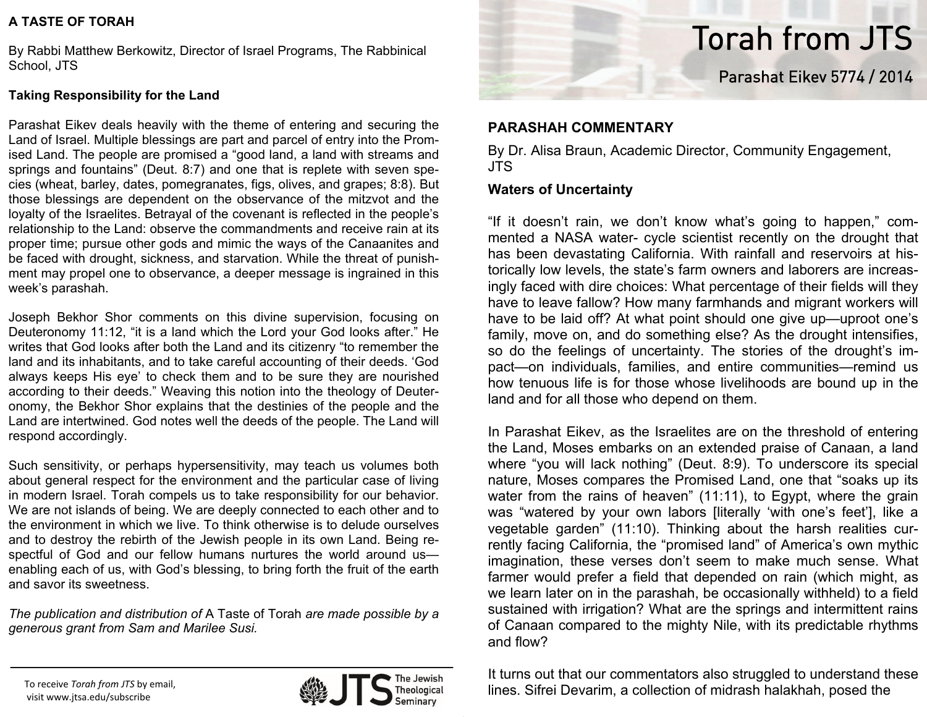## **A TASTE OF TORAH**

By Rabbi Matthew Berkowitz, Director of Israel Programs, The Rabbinical School, JTS

## **Taking Responsibility for the Land**

Parashat Eikev deals heavily with the theme of entering and securing the Land of Israel. Multiple blessings are part and parcel of entry into the Promised Land. The people are promised a "good land, a land with streams and springs and fountains" (Deut. 8:7) and one that is replete with seven species (wheat, barley, dates, pomegranates, figs, olives, and grapes; 8:8). But those blessings are dependent on the observance of the mitzvot and the loyalty of the Israelites. Betrayal of the covenant is reflected in the people's relationship to the Land: observe the commandments and receive rain at its proper time; pursue other gods and mimic the ways of the Canaanites and be faced with drought, sickness, and starvation. While the threat of punishment may propel one to observance, a deeper message is ingrained in this week's parashah.

Joseph Bekhor Shor comments on this divine supervision, focusing on Deuteronomy 11:12, "it is a land which the Lord your God looks after." He writes that God looks after both the Land and its citizenry "to remember the land and its inhabitants, and to take careful accounting of their deeds. 'God always keeps His eye' to check them and to be sure they are nourished according to their deeds." Weaving this notion into the theology of Deuteronomy, the Bekhor Shor explains that the destinies of the people and the Land are intertwined. God notes well the deeds of the people. The Land will respond accordingly.

Such sensitivity, or perhaps hypersensitivity, may teach us volumes both about general respect for the environment and the particular case of living in modern Israel. Torah compels us to take responsibility for our behavior. We are not islands of being. We are deeply connected to each other and to the environment in which we live. To think otherwise is to delude ourselves and to destroy the rebirth of the Jewish people in its own Land. Being respectful of God and our fellow humans nurtures the world around usenabling each of us, with God's blessing, to bring forth the fruit of the earth and savor its sweetness.

*The publication and distribution of* A Taste of Torah *are made possible by a generous grant from Sam and Marilee Susi.*

Torah from JTS

Parashat Eikev 5774 / 2014

## **PARASHAH COMMENTARY**

By Dr. Alisa Braun, Academic Director, Community Engagement, JTS

## **Waters of Uncertainty**

"If it doesn't rain, we don't know what's going to happen," commented a NASA water- cycle scientist recently on the drought that has been devastating California. With rainfall and reservoirs at historically low levels, the state's farm owners and laborers are increasingly faced with dire choices: What percentage of their fields will they have to leave fallow? How many farmhands and migrant workers will have to be laid off? At what point should one give up—uproot one's family, move on, and do something else? As the drought intensifies, so do the feelings of uncertainty. The stories of the drought's impact—on individuals, families, and entire communities—remind us how tenuous life is for those whose livelihoods are bound up in the land and for all those who depend on them.

In Parashat Eikev, as the Israelites are on the threshold of entering the Land, Moses embarks on an extended praise of Canaan, a land where "you will lack nothing" (Deut. 8:9). To underscore its special nature, Moses compares the Promised Land, one that "soaks up its water from the rains of heaven" (11:11), to Egypt, where the grain was "watered by your own labors [literally 'with one's feet'], like a vegetable garden" (11:10). Thinking about the harsh realities currently facing California, the "promised land" of America's own mythic imagination, these verses don't seem to make much sense. What farmer would prefer a field that depended on rain (which might, as we learn later on in the parashah, be occasionally withheld) to a field sustained with irrigation? What are the springs and intermittent rains of Canaan compared to the mighty Nile, with its predictable rhythms and flow?

It turns out that our commentators also struggled to understand these lines. Sifrei Devarim, a collection of midrash halakhah, posed the

To receive *Torah from JTS* by email, visit www.jtsa.edu/subscribe